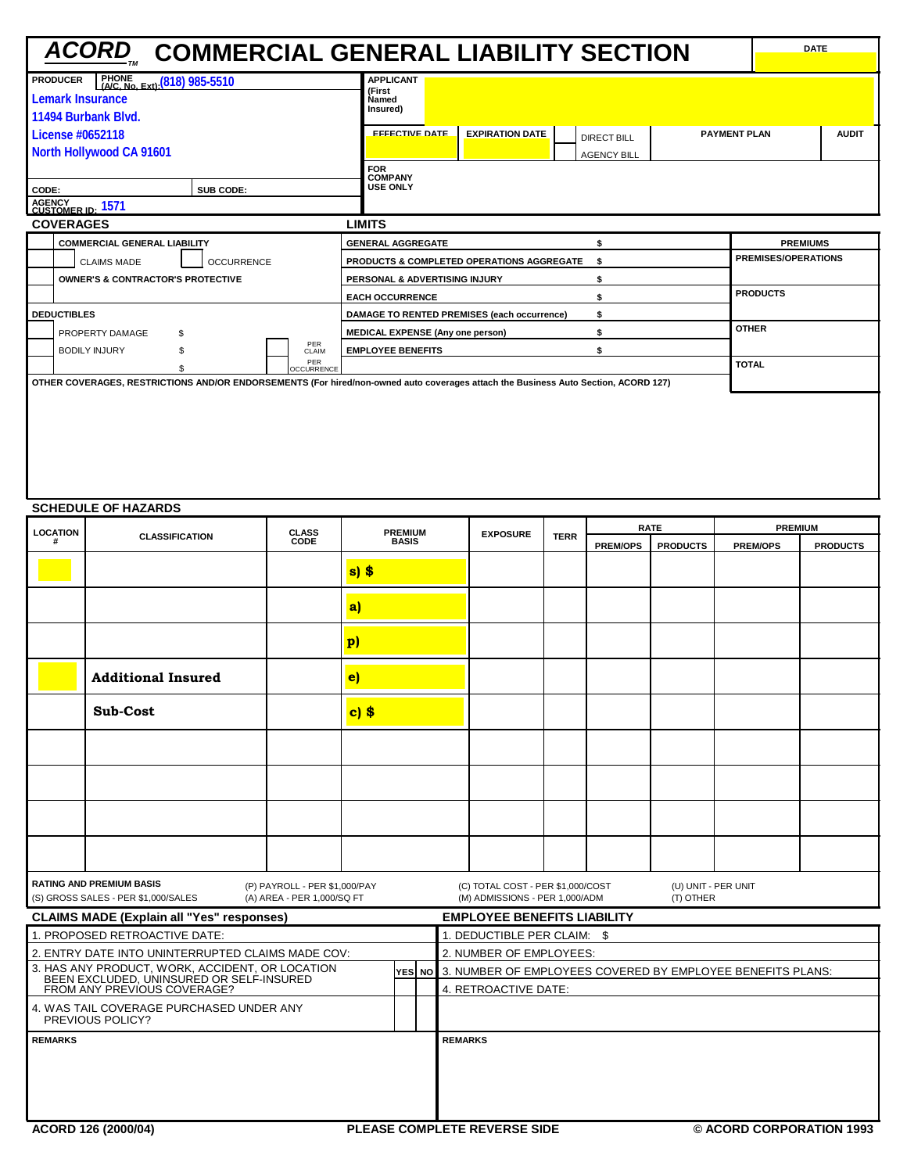|                                                            | <u>ACORD</u> COMMERCIAL GENERAL LIABILITY SECTION                                                                                  | <b>DATE</b>                |
|------------------------------------------------------------|------------------------------------------------------------------------------------------------------------------------------------|----------------------------|
| PHONE<br>(A/C, No. Ext); (818) 985-5510<br><b>PRODUCER</b> | <b>APPLICANT</b>                                                                                                                   |                            |
| Lemark Insurance                                           | (First<br><b>Named</b>                                                                                                             |                            |
| 11494 Burbank Blvd.                                        | Insured)                                                                                                                           |                            |
| License #0652118                                           | <b>FFFECTIVE DATE</b><br><b>EXPIRATION DATE</b><br><b>PAYMENT PLAN</b><br>DIRECT BILL                                              | <b>AUDIT</b>               |
| North Hollywood CA 91601                                   | <b>AGENCY BILL</b>                                                                                                                 |                            |
|                                                            | <b>FOR</b>                                                                                                                         |                            |
| SUB CODE:<br>CODE:                                         | <b>COMPANY</b><br><b>USE ONLY</b>                                                                                                  |                            |
| AGENCY<br>CUSTOMER ID: 1571                                |                                                                                                                                    |                            |
| <b>COVERAGES</b>                                           | <b>LIMITS</b>                                                                                                                      |                            |
| <b>COMMERCIAL GENERAL LIABILITY</b>                        | <b>GENERAL AGGREGATE</b><br>\$                                                                                                     | <b>PREMIUMS</b>            |
| <b>OCCURRENCE</b><br><b>CLAIMS MADE</b>                    | <b>PRODUCTS &amp; COMPLETED OPERATIONS AGGREGATE</b><br>\$                                                                         | <b>PREMISES/OPERATIONS</b> |
| <b>OWNER'S &amp; CONTRACTOR'S PROTECTIVE</b>               | PERSONAL & ADVERTISING INJURY<br>\$                                                                                                |                            |
|                                                            | <b>EACH OCCURRENCE</b><br>\$                                                                                                       | <b>PRODUCTS</b>            |
| <b>DEDUCTIBLES</b>                                         | DAMAGE TO RENTED PREMISES (each occurrence)<br>\$                                                                                  |                            |
| PROPERTY DAMAGE<br>\$                                      | \$<br><b>MEDICAL EXPENSE (Any one person)</b>                                                                                      | <b>OTHER</b>               |
| PER<br><b>BODILY INJURY</b><br>CLAIM                       | <b>EMPLOYEE BENEFITS</b><br>\$                                                                                                     |                            |
| PER<br><b>OCCURRENCE</b>                                   |                                                                                                                                    | <b>TOTAL</b>               |
|                                                            | OTHER COVERAGES, RESTRICTIONS AND/OR ENDORSEMENTS (For hired/non-owned auto coverages attach the Business Auto Section, ACORD 127) |                            |
|                                                            |                                                                                                                                    |                            |

## **SCHEDULE OF HAZARDS**

| <b>LOCATION</b><br><b>CLASSIFICATION</b>                     |                                                                                             | <b>CLASS</b>                                                | <b>PREMIUM</b>              |                |  | <b>EXPOSURE</b>             | <b>TERR</b>                                                         |  | <b>RATE</b>     | <b>PREMIUM</b>                   |                                                                   |                 |  |
|--------------------------------------------------------------|---------------------------------------------------------------------------------------------|-------------------------------------------------------------|-----------------------------|----------------|--|-----------------------------|---------------------------------------------------------------------|--|-----------------|----------------------------------|-------------------------------------------------------------------|-----------------|--|
| #                                                            |                                                                                             | CODE                                                        |                             | <b>BASIS</b>   |  |                             |                                                                     |  | <b>PREM/OPS</b> | <b>PRODUCTS</b>                  | <b>PREM/OPS</b>                                                   | <b>PRODUCTS</b> |  |
|                                                              |                                                                                             |                                                             | $s$ ) $$$                   |                |  |                             |                                                                     |  |                 |                                  |                                                                   |                 |  |
|                                                              |                                                                                             |                                                             | a                           |                |  |                             |                                                                     |  |                 |                                  |                                                                   |                 |  |
|                                                              |                                                                                             |                                                             | $\mathbf{p}$                |                |  |                             |                                                                     |  |                 |                                  |                                                                   |                 |  |
|                                                              | <b>Additional Insured</b>                                                                   |                                                             | $\left  \mathbf{e} \right $ |                |  |                             |                                                                     |  |                 |                                  |                                                                   |                 |  |
|                                                              | <b>Sub-Cost</b>                                                                             |                                                             | $c)$ \$                     |                |  |                             |                                                                     |  |                 |                                  |                                                                   |                 |  |
|                                                              |                                                                                             |                                                             |                             |                |  |                             |                                                                     |  |                 |                                  |                                                                   |                 |  |
|                                                              |                                                                                             |                                                             |                             |                |  |                             |                                                                     |  |                 |                                  |                                                                   |                 |  |
|                                                              |                                                                                             |                                                             |                             |                |  |                             |                                                                     |  |                 |                                  |                                                                   |                 |  |
|                                                              |                                                                                             |                                                             |                             |                |  |                             |                                                                     |  |                 |                                  |                                                                   |                 |  |
|                                                              | <b>RATING AND PREMIUM BASIS</b><br>(S) GROSS SALES - PER \$1,000/SALES                      | (P) PAYROLL - PER \$1,000/PAY<br>(A) AREA - PER 1,000/SQ FT |                             |                |  |                             | (C) TOTAL COST - PER \$1,000/COST<br>(M) ADMISSIONS - PER 1,000/ADM |  |                 | (U) UNIT - PER UNIT<br>(T) OTHER |                                                                   |                 |  |
|                                                              | <b>CLAIMS MADE (Explain all "Yes" responses)</b>                                            |                                                             |                             |                |  |                             | <b>EMPLOYEE BENEFITS LIABILITY</b>                                  |  |                 |                                  |                                                                   |                 |  |
|                                                              | 1. PROPOSED RETROACTIVE DATE:                                                               |                                                             |                             |                |  | 1. DEDUCTIBLE PER CLAIM: \$ |                                                                     |  |                 |                                  |                                                                   |                 |  |
|                                                              | 2. ENTRY DATE INTO UNINTERRUPTED CLAIMS MADE COV:                                           |                                                             |                             |                |  | 2. NUMBER OF EMPLOYEES:     |                                                                     |  |                 |                                  |                                                                   |                 |  |
|                                                              | 3. HAS ANY PRODUCT, WORK, ACCIDENT, OR LOCATION<br>BEEN EXCLUDED. UNINSURED OR SELF-INSURED |                                                             |                             |                |  |                             |                                                                     |  |                 |                                  | YES NO 3. NUMBER OF EMPLOYEES COVERED BY EMPLOYEE BENEFITS PLANS: |                 |  |
|                                                              | FROM ANY PREVIOUS COVERAGE?                                                                 |                                                             |                             |                |  |                             | 4. RETROACTIVE DATE:                                                |  |                 |                                  |                                                                   |                 |  |
| 4. WAS TAIL COVERAGE PURCHASED UNDER ANY<br>PREVIOUS POLICY? |                                                                                             |                                                             |                             |                |  |                             |                                                                     |  |                 |                                  |                                                                   |                 |  |
| <b>REMARKS</b>                                               |                                                                                             |                                                             |                             | <b>REMARKS</b> |  |                             |                                                                     |  |                 |                                  |                                                                   |                 |  |
|                                                              |                                                                                             |                                                             |                             |                |  |                             |                                                                     |  |                 |                                  |                                                                   |                 |  |
|                                                              | ACORD 126 (2000/04)                                                                         |                                                             |                             |                |  |                             | <b>PLEASE COMPLETE REVERSE SIDE</b>                                 |  |                 |                                  | © ACORD CORPORATION 1993                                          |                 |  |